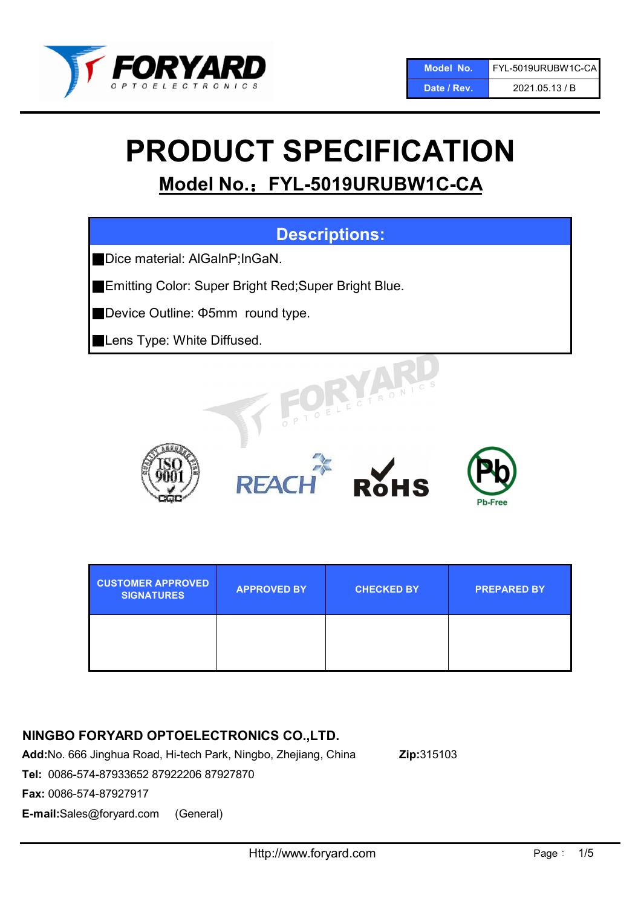

# PRODUCT SPECIFICATION

# Model No.: FYL-5019URUBW1C-CA

## Descriptions:

■Dice material: AlGaInP;InGaN.

■Emitting Color: Super Bright Red; Super Bright Blue.

■Device Outline: Φ5mm round type.

**Lens Type: White Diffused.** 







| <b>CUSTOMER APPROVED</b><br><b>SIGNATURES</b> | <b>APPROVED BY</b> | <b>CHECKED BY</b> | <b>PREPARED BY</b> |
|-----------------------------------------------|--------------------|-------------------|--------------------|
|                                               |                    |                   |                    |

## NINGBO FORYARD OPTOELECTRONICS CO.,LTD.

Add:No. 666 Jinghua Road, Hi-tech Park, Ningbo, Zhejiang, China Zip:315103

Tel: 0086-574-87933652 87922206 87927870

Fax: 0086-574-87927917

E-mail:Sales@foryard.com (General)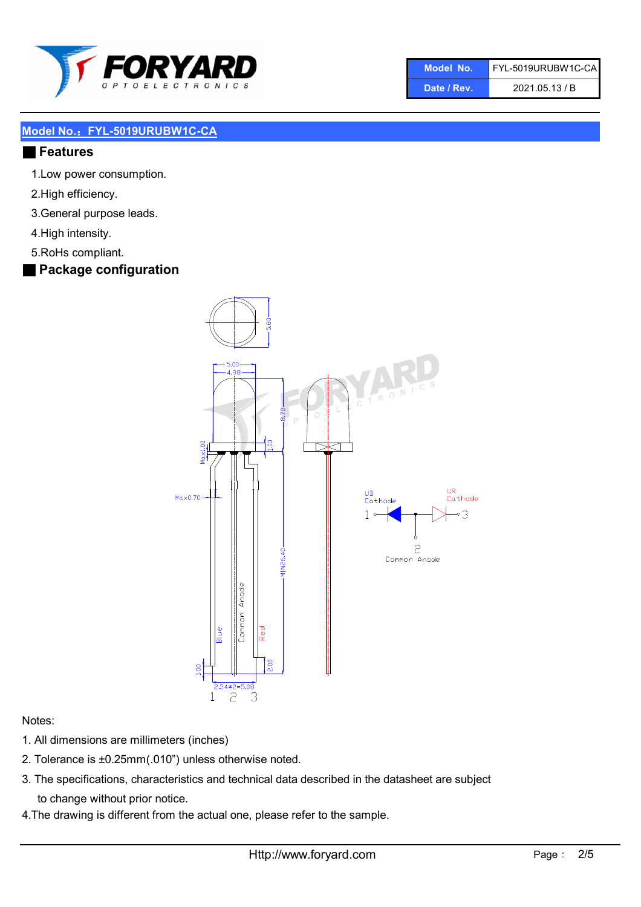

| 'Model No   | FYL-5019URUBW1C-CA |
|-------------|--------------------|
| Date / Rev. | 2021.05.13 / B     |

#### ■ Features

- 1.Low power consumption.
- 2.High efficiency.
- 3.General purpose leads.
- 4.High intensity.
- 5.RoHs compliant.

## ■ Package configuration



#### Notes:

- 1. All dimensions are millimeters (inches)
- 2. Tolerance is ±0.25mm(.010") unless otherwise noted.
- 3. The specifications, characteristics and technical data described in the datasheet are subject to change without prior notice.
- 4.The drawing is different from the actual one, please refer to the sample.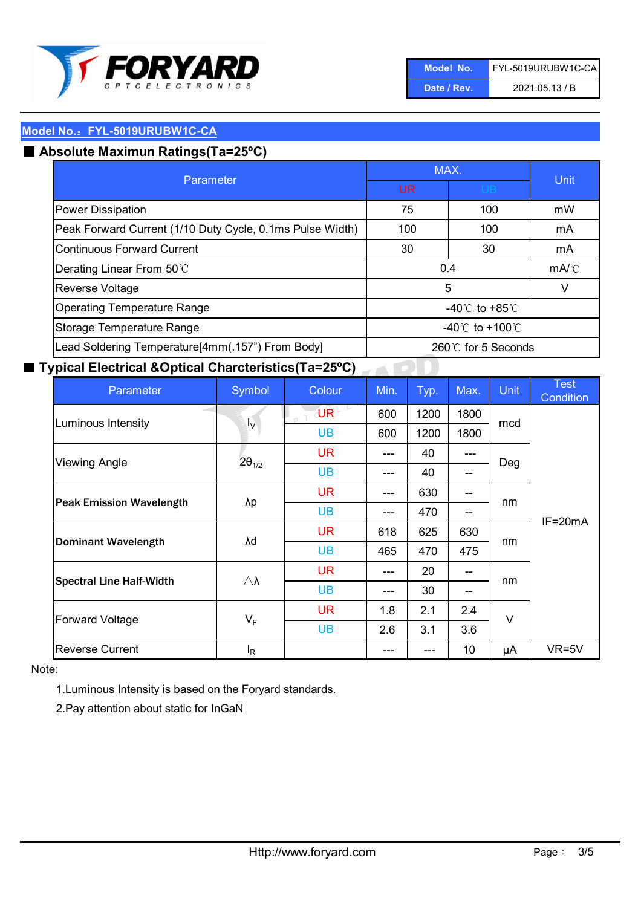

| Model No.   | FYL-5019URUBW1C-CA |
|-------------|--------------------|
| Date / Rev. | 2021.05.13 / B     |

## ■ Absolute Maximun Ratings(Ta=25°C)

| Parameter                                                                             | MAX.                               |     | Unit                                 |  |
|---------------------------------------------------------------------------------------|------------------------------------|-----|--------------------------------------|--|
|                                                                                       | <b>UB</b><br>UR                    |     |                                      |  |
| <b>Power Dissipation</b>                                                              | 75                                 | 100 | mW                                   |  |
| Peak Forward Current (1/10 Duty Cycle, 0.1ms Pulse Width)                             | 100                                | 100 | mA                                   |  |
| Continuous Forward Current                                                            | 30                                 | 30  | mA                                   |  |
| Derating Linear From 50°C                                                             | 0.4                                |     | $mA$ <sup><math>\circ</math></sup> C |  |
| Reverse Voltage                                                                       | 5                                  |     | V                                    |  |
| <b>Operating Temperature Range</b>                                                    | -40 $\degree$ C to +85 $\degree$ C |     |                                      |  |
| Storage Temperature Range                                                             | -40°C to +100°C                    |     |                                      |  |
| Lead Soldering Temperature[4mm(.157") From Body]<br>$260^\circ\text{C}$ for 5 Seconds |                                    |     |                                      |  |

## ■ Typical Electrical &Optical Charcteristics(Ta=25°C)

| Parameter                       | Symbol              | Colour           | Min. | Typ. | Max.  | <b>Unit</b> | <b>Test</b><br>Condition |
|---------------------------------|---------------------|------------------|------|------|-------|-------------|--------------------------|
| Luminous Intensity              | Iv.                 | UR <sup>LT</sup> | 600  | 1200 | 1800  | mcd         | $IF=20mA$                |
|                                 |                     | <b>UB</b>        | 600  | 1200 | 1800  |             |                          |
| <b>Viewing Angle</b>            | $2\theta_{1/2}$     | <b>UR</b>        | ---  | 40   | ---   | Deg         |                          |
|                                 |                     | <b>UB</b>        | ---  | 40   | $- -$ |             |                          |
| <b>Peak Emission Wavelength</b> | λp                  | <b>UR</b>        | ---  | 630  | $- -$ | nm          |                          |
|                                 |                     | <b>UB</b>        | ---  | 470  | --    |             |                          |
| <b>Dominant Wavelength</b>      | λd                  | <b>UR</b>        | 618  | 625  | 630   | nm          |                          |
|                                 |                     | <b>UB</b>        | 465  | 470  | 475   |             |                          |
| <b>Spectral Line Half-Width</b> | $\triangle \lambda$ | <b>UR</b>        | ---  | 20   | --    | nm          |                          |
|                                 |                     | <b>UB</b>        | ---  | 30   | $- -$ |             |                          |
| <b>Forward Voltage</b>          | $V_F$               | <b>UR</b>        | 1.8  | 2.1  | 2.4   | $\vee$      |                          |
|                                 |                     | <b>UB</b>        | 2.6  | 3.1  | 3.6   |             |                          |
| <b>Reverse Current</b>          | $I_R$               |                  |      | ---  | 10    | μA          | $VR=5V$                  |

Note:

1.Luminous Intensity is based on the Foryard standards.

2.Pay attention about static for InGaN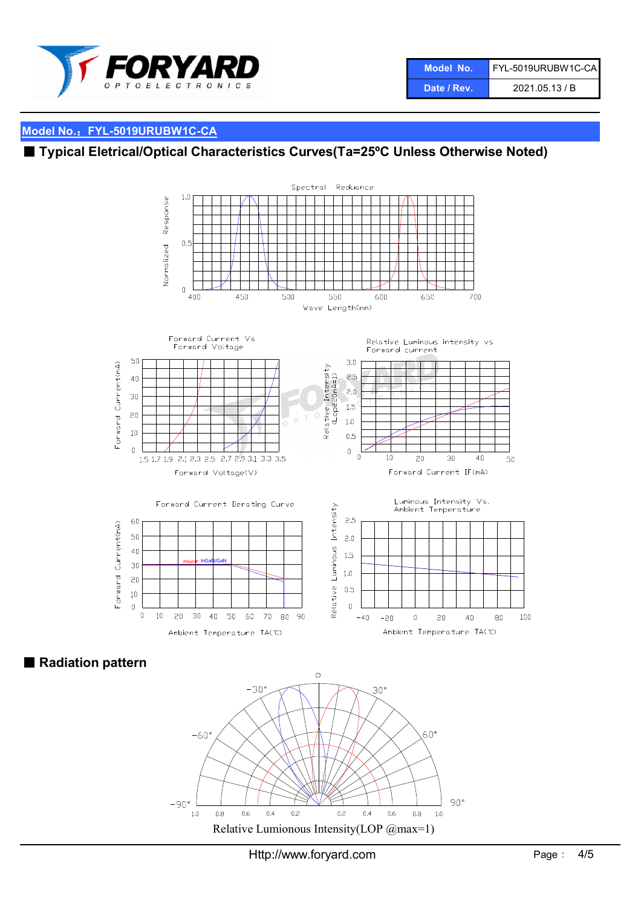

## ■ Typical Eletrical/Optical Characteristics Curves(Ta=25°C Unless Otherwise Noted)



■ Radiation pattern